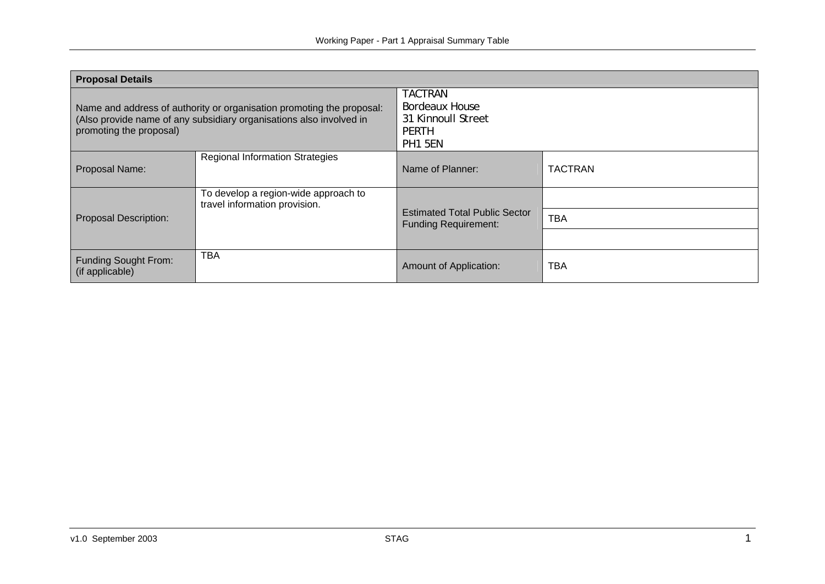| <b>Proposal Details</b>                                                                                                                                                 |                                                                       |                                                                                          |                |  |
|-------------------------------------------------------------------------------------------------------------------------------------------------------------------------|-----------------------------------------------------------------------|------------------------------------------------------------------------------------------|----------------|--|
| Name and address of authority or organisation promoting the proposal:<br>(Also provide name of any subsidiary organisations also involved in<br>promoting the proposal) |                                                                       | <b>TACTRAN</b><br><b>Bordeaux House</b><br>31 Kinnoull Street<br>PERTH<br><b>PH1 5EN</b> |                |  |
| Proposal Name:                                                                                                                                                          | <b>Regional Information Strategies</b>                                | Name of Planner:                                                                         | <b>TACTRAN</b> |  |
| <b>Proposal Description:</b>                                                                                                                                            | To develop a region-wide approach to<br>travel information provision. | <b>Estimated Total Public Sector</b><br><b>Funding Requirement:</b>                      | <b>TBA</b>     |  |
| <b>Funding Sought From:</b><br>(if applicable)                                                                                                                          | <b>TBA</b>                                                            | Amount of Application:                                                                   | <b>TBA</b>     |  |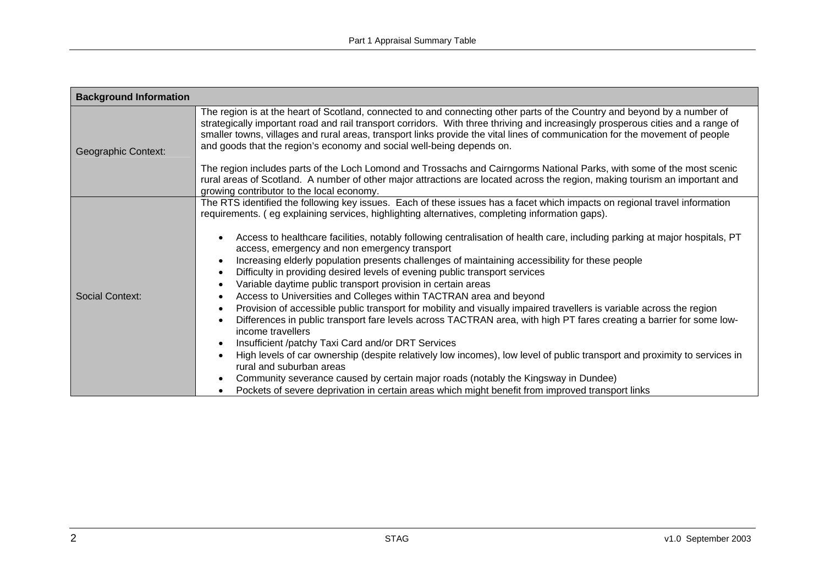| <b>Background Information</b> |                                                                                                                                                                                                                                                                                                                                                                                                                                                                                                                                                                                                                                                                                                                                                                                                                                                                                                                                                                                                                                                                                                                                                                                                                                                                                                                                                                                                                                                                                                                            |
|-------------------------------|----------------------------------------------------------------------------------------------------------------------------------------------------------------------------------------------------------------------------------------------------------------------------------------------------------------------------------------------------------------------------------------------------------------------------------------------------------------------------------------------------------------------------------------------------------------------------------------------------------------------------------------------------------------------------------------------------------------------------------------------------------------------------------------------------------------------------------------------------------------------------------------------------------------------------------------------------------------------------------------------------------------------------------------------------------------------------------------------------------------------------------------------------------------------------------------------------------------------------------------------------------------------------------------------------------------------------------------------------------------------------------------------------------------------------------------------------------------------------------------------------------------------------|
| Geographic Context:           | The region is at the heart of Scotland, connected to and connecting other parts of the Country and beyond by a number of<br>strategically important road and rail transport corridors. With three thriving and increasingly prosperous cities and a range of<br>smaller towns, villages and rural areas, transport links provide the vital lines of communication for the movement of people<br>and goods that the region's economy and social well-being depends on.<br>The region includes parts of the Loch Lomond and Trossachs and Cairngorms National Parks, with some of the most scenic<br>rural areas of Scotland. A number of other major attractions are located across the region, making tourism an important and<br>growing contributor to the local economy.                                                                                                                                                                                                                                                                                                                                                                                                                                                                                                                                                                                                                                                                                                                                                |
| <b>Social Context:</b>        | The RTS identified the following key issues. Each of these issues has a facet which impacts on regional travel information<br>requirements. (eg explaining services, highlighting alternatives, completing information gaps).<br>Access to healthcare facilities, notably following centralisation of health care, including parking at major hospitals, PT<br>access, emergency and non emergency transport<br>Increasing elderly population presents challenges of maintaining accessibility for these people<br>$\bullet$<br>Difficulty in providing desired levels of evening public transport services<br>$\bullet$<br>Variable daytime public transport provision in certain areas<br>$\bullet$<br>Access to Universities and Colleges within TACTRAN area and beyond<br>$\bullet$<br>Provision of accessible public transport for mobility and visually impaired travellers is variable across the region<br>$\bullet$<br>Differences in public transport fare levels across TACTRAN area, with high PT fares creating a barrier for some low-<br>income travellers<br>Insufficient /patchy Taxi Card and/or DRT Services<br>$\bullet$<br>High levels of car ownership (despite relatively low incomes), low level of public transport and proximity to services in<br>rural and suburban areas<br>Community severance caused by certain major roads (notably the Kingsway in Dundee)<br>$\bullet$<br>Pockets of severe deprivation in certain areas which might benefit from improved transport links<br>$\bullet$ |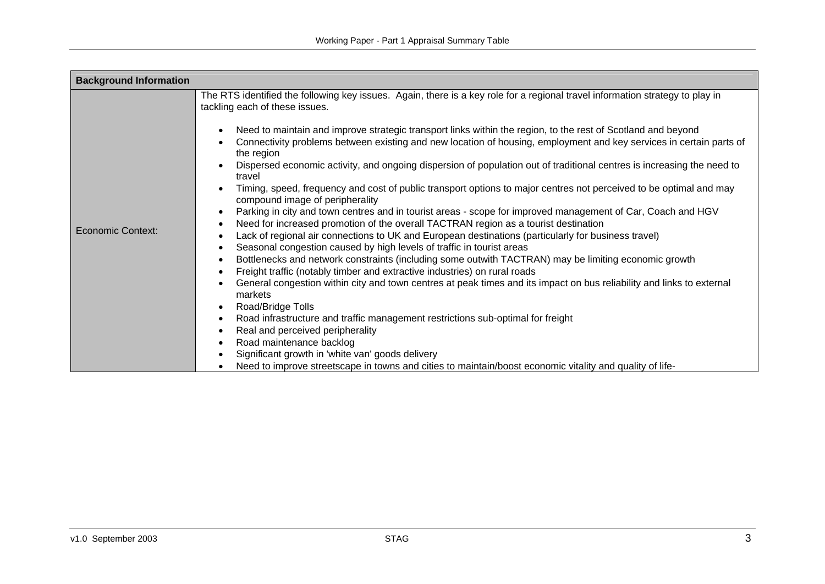| <b>Background Information</b> |                                                                                                                                                                                                                                                                                                                                                                                                                                                                                                                                                                                                                                                                                                                                                                                                                                                                                                                                                                                                                                                                                                                                                                                                                                                                                                                                                                                                                                                                                                                                                                                                                                           |
|-------------------------------|-------------------------------------------------------------------------------------------------------------------------------------------------------------------------------------------------------------------------------------------------------------------------------------------------------------------------------------------------------------------------------------------------------------------------------------------------------------------------------------------------------------------------------------------------------------------------------------------------------------------------------------------------------------------------------------------------------------------------------------------------------------------------------------------------------------------------------------------------------------------------------------------------------------------------------------------------------------------------------------------------------------------------------------------------------------------------------------------------------------------------------------------------------------------------------------------------------------------------------------------------------------------------------------------------------------------------------------------------------------------------------------------------------------------------------------------------------------------------------------------------------------------------------------------------------------------------------------------------------------------------------------------|
| <b>Economic Context:</b>      | The RTS identified the following key issues. Again, there is a key role for a regional travel information strategy to play in<br>tackling each of these issues.<br>Need to maintain and improve strategic transport links within the region, to the rest of Scotland and beyond<br>Connectivity problems between existing and new location of housing, employment and key services in certain parts of<br>the region<br>Dispersed economic activity, and ongoing dispersion of population out of traditional centres is increasing the need to<br>travel<br>Timing, speed, frequency and cost of public transport options to major centres not perceived to be optimal and may<br>compound image of peripherality<br>Parking in city and town centres and in tourist areas - scope for improved management of Car, Coach and HGV<br>$\bullet$<br>Need for increased promotion of the overall TACTRAN region as a tourist destination<br>٠<br>Lack of regional air connections to UK and European destinations (particularly for business travel)<br>٠<br>Seasonal congestion caused by high levels of traffic in tourist areas<br>٠<br>Bottlenecks and network constraints (including some outwith TACTRAN) may be limiting economic growth<br>٠<br>Freight traffic (notably timber and extractive industries) on rural roads<br>General congestion within city and town centres at peak times and its impact on bus reliability and links to external<br>markets<br>Road/Bridge Tolls<br>Road infrastructure and traffic management restrictions sub-optimal for freight<br>Real and perceived peripherality<br>Road maintenance backlog |
|                               | Significant growth in 'white van' goods delivery<br>Need to improve streetscape in towns and cities to maintain/boost economic vitality and quality of life-<br>$\bullet$                                                                                                                                                                                                                                                                                                                                                                                                                                                                                                                                                                                                                                                                                                                                                                                                                                                                                                                                                                                                                                                                                                                                                                                                                                                                                                                                                                                                                                                                 |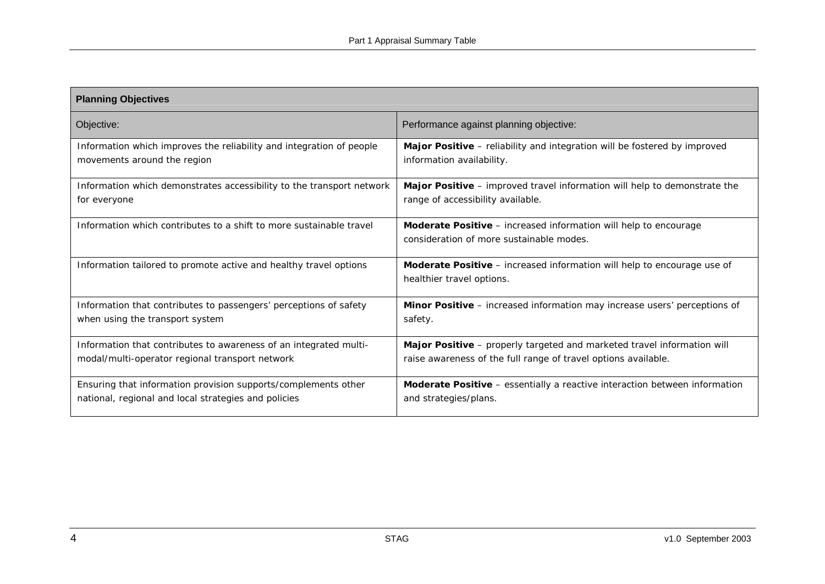| <b>Planning Objectives</b>                                            |                                                                                                                     |  |  |
|-----------------------------------------------------------------------|---------------------------------------------------------------------------------------------------------------------|--|--|
| Objective:                                                            | Performance against planning objective:                                                                             |  |  |
| Information which improves the reliability and integration of people  | Major Positive - reliability and integration will be fostered by improved                                           |  |  |
| movements around the region                                           | information availability.                                                                                           |  |  |
| Information which demonstrates accessibility to the transport network | Major Positive - improved travel information will help to demonstrate the                                           |  |  |
| for everyone                                                          | range of accessibility available.                                                                                   |  |  |
| Information which contributes to a shift to more sustainable travel   | <b>Moderate Positive</b> – increased information will help to encourage<br>consideration of more sustainable modes. |  |  |
| Information tailored to promote active and healthy travel options     | Moderate Positive - increased information will help to encourage use of<br>healthier travel options.                |  |  |
| Information that contributes to passengers' perceptions of safety     | Minor Positive - increased information may increase users' perceptions of                                           |  |  |
| when using the transport system                                       | safety.                                                                                                             |  |  |
| Information that contributes to awareness of an integrated multi-     | Major Positive - properly targeted and marketed travel information will                                             |  |  |
| modal/multi-operator regional transport network                       | raise awareness of the full range of travel options available.                                                      |  |  |
| Ensuring that information provision supports/complements other        | Moderate Positive - essentially a reactive interaction between information                                          |  |  |
| national, regional and local strategies and policies                  | and strategies/plans.                                                                                               |  |  |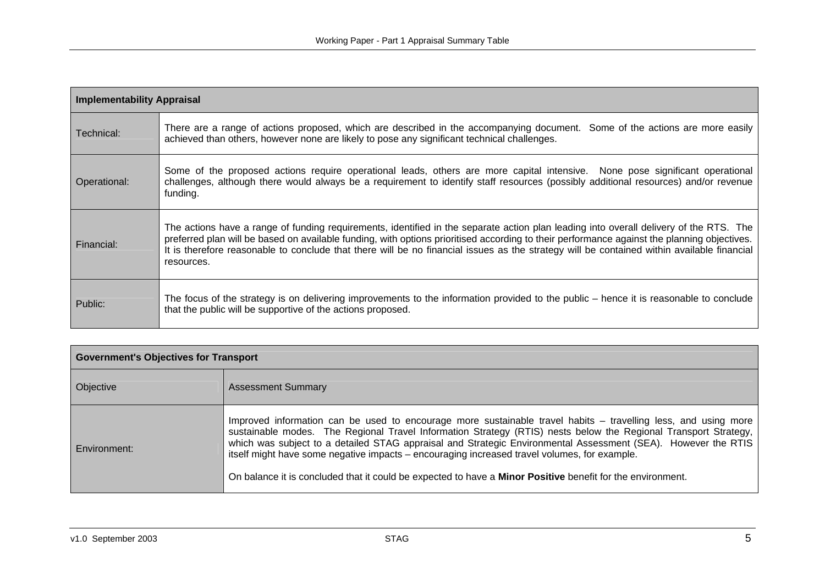| <b>Implementability Appraisal</b> |                                                                                                                                                                                                                                                                                                                                                                                                                                                   |  |
|-----------------------------------|---------------------------------------------------------------------------------------------------------------------------------------------------------------------------------------------------------------------------------------------------------------------------------------------------------------------------------------------------------------------------------------------------------------------------------------------------|--|
| Technical:                        | There are a range of actions proposed, which are described in the accompanying document. Some of the actions are more easily<br>achieved than others, however none are likely to pose any significant technical challenges.                                                                                                                                                                                                                       |  |
| Operational:                      | Some of the proposed actions require operational leads, others are more capital intensive. None pose significant operational<br>challenges, although there would always be a requirement to identify staff resources (possibly additional resources) and/or revenue<br>funding.                                                                                                                                                                   |  |
| Financial:                        | The actions have a range of funding requirements, identified in the separate action plan leading into overall delivery of the RTS. The<br>preferred plan will be based on available funding, with options prioritised according to their performance against the planning objectives.<br>It is therefore reasonable to conclude that there will be no financial issues as the strategy will be contained within available financial<br>resources. |  |
| Public:                           | The focus of the strategy is on delivering improvements to the information provided to the public – hence it is reasonable to conclude<br>that the public will be supportive of the actions proposed.                                                                                                                                                                                                                                             |  |

| <b>Government's Objectives for Transport</b> |                                                                                                                                                                                                                                                                                                                                                                                                                                                                                                                                                                         |  |
|----------------------------------------------|-------------------------------------------------------------------------------------------------------------------------------------------------------------------------------------------------------------------------------------------------------------------------------------------------------------------------------------------------------------------------------------------------------------------------------------------------------------------------------------------------------------------------------------------------------------------------|--|
| Objective                                    | <b>Assessment Summary</b>                                                                                                                                                                                                                                                                                                                                                                                                                                                                                                                                               |  |
| Environment:                                 | Improved information can be used to encourage more sustainable travel habits – travelling less, and using more<br>sustainable modes. The Regional Travel Information Strategy (RTIS) nests below the Regional Transport Strategy,<br>which was subject to a detailed STAG appraisal and Strategic Environmental Assessment (SEA). However the RTIS<br>itself might have some negative impacts – encouraging increased travel volumes, for example.<br>On balance it is concluded that it could be expected to have a <b>Minor Positive</b> benefit for the environment. |  |